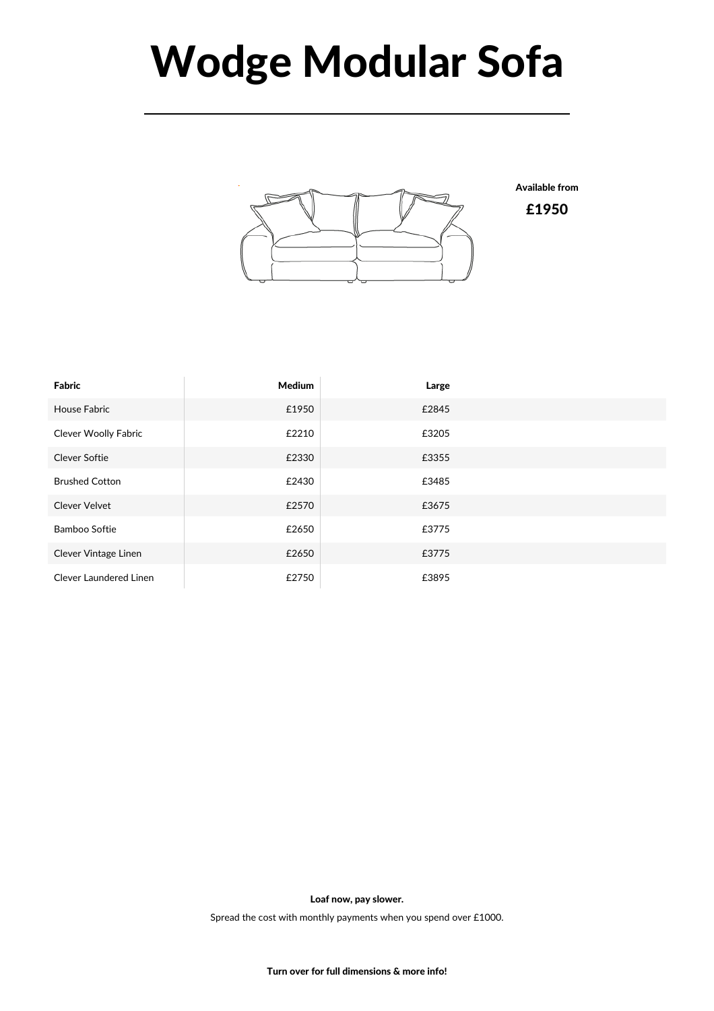## Wodge Modular Sofa



Available from

£1950

| Fabric                        | <b>Medium</b> | Large |  |
|-------------------------------|---------------|-------|--|
| <b>House Fabric</b>           | £1950         | £2845 |  |
| <b>Clever Woolly Fabric</b>   | £2210         | £3205 |  |
| <b>Clever Softie</b>          | £2330         | £3355 |  |
| <b>Brushed Cotton</b>         | £2430         | £3485 |  |
| <b>Clever Velvet</b>          | £2570         | £3675 |  |
| <b>Bamboo Softie</b>          | £2650         | £3775 |  |
| Clever Vintage Linen          | £2650         | £3775 |  |
| <b>Clever Laundered Linen</b> | £2750         | £3895 |  |

Loaf now, pay slower.

Spread the cost with monthly payments when you spend over £1000.